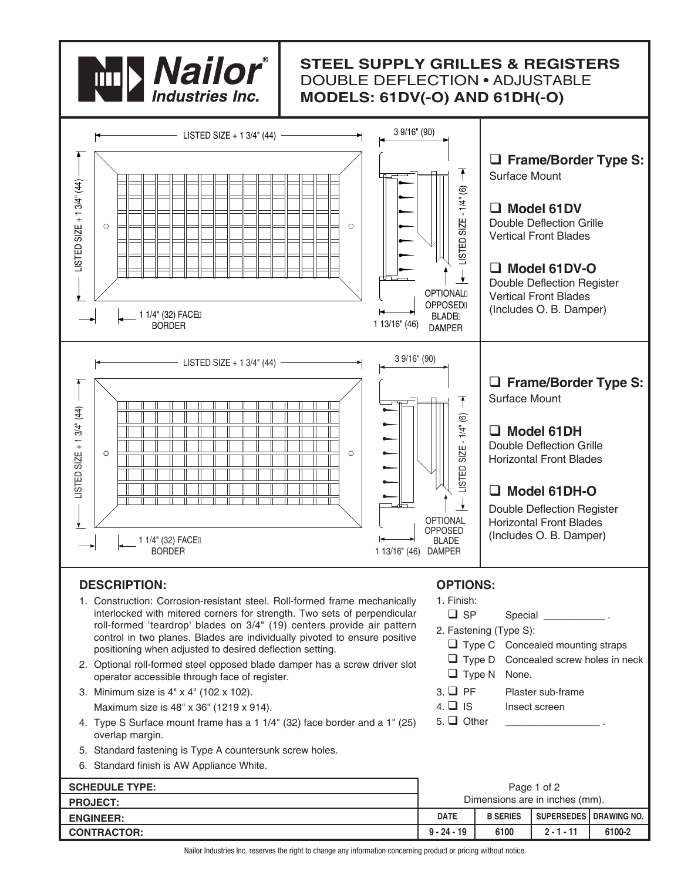

# **STEEL SUPPLY GRILLES & REGISTERS** DOUBLE DEFLECTION • ADJUSTABLE **MODELS: 61DV(-O) AND 61DH(-O)**